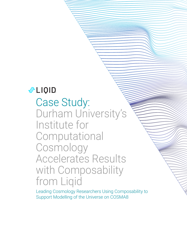# **ALIQID**

Case Study: Durham University's Institute for **Computational** Cosmology Accelerates Results with Composability from Liqid

Leading Cosmology Researchers Using Composability to Support Modelling of the Universe on COSMA8

DURHAM UNIVERSITY'S INSTITUTE FOR COMPUTATIONAL COSMOLOGY

ACCELERATES RESULTS WITH COMPOSABILITY FROM LIQID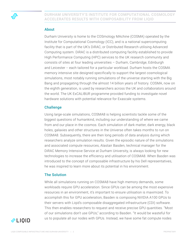

## About

Durham University is home to the COSmology MAchine (COSMA) operated by the Institute for Computational Cosmology (ICC), and is a national supercomputing facility that is part of the UK's DiRAC, or Distributed Research utilising Advanced Computing system. DiRAC is a distributed computing facility established to provide High Performance Computing (HPC) services to the UK research community and consists of sites at four leading universities – Durham, Cambridge, Edinburgh and Leicester -- each tailored for a particular workload. Durham hosts the COSMA memory intensive site designed specifically to support the largest cosmological simulations, most notably running simulations of the universe starting with the Big Bang and propagating through the almost 14 billion years of history. COSMA, now on the eighth generation, is used by researchers across the UK and collaborators around the world. The UK ExCALIBUR programme provided funding to investigate novel hardware solutions with potential relevance for Exascale systems.

## **Challenge**

Using large-scale simulations, COSMA8 is helping scientists tackle some of the biggest questions of humankind, including our understanding of where we came from and our place in the cosmos. Each simulation of dark matter, dark energy, black holes, galaxies and other structures in the Universe often takes months to run on COSMA8. Subsequently, there are then long periods of data analysis during which researchers analyze simulation results. Given the episodic nature of the simulations and associated compute resources, Alastair Basden, technical manager for the DiRAC Memory Intensive Service at Durham University, is always looking for new technologies to increase the efficiency and utilisation of COSMA8. When Basden was introduced to the concept of composable infrastructure by his Dell representatives, he was inspired to learn more about its potential in his environment.

## The Solution

While all simulations running on COSMA8 have high memory demands, some workloads require GPU acceleration. Since GPUs can be among the most expensive resources in an environment, it's important to ensure utilisation is maximized. To accomplish this for GPU acceleration, Basden is composing NVIDIA A100 GPUs to their servers with Liqid's composable disaggregated infrastructure (CDI) software. This then enables researchers to request and receive precise GPU quantities. "Most of our simulations don't use GPUs," according to Basden. "It would be wasteful for us to populate all our nodes with GPUs. Instead, we have some fat compute nodes

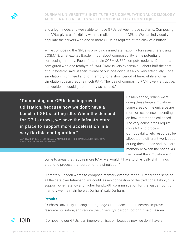

and a login node, and we're able to move GPUs between those systems. Composing our GPUs gives us flexibility with a smaller number of GPUs. We can individually populate the servers with one or more GPUs as required at the click of a button."

While composing the GPUs is providing immediate flexibility for researchers using COSMA 8, what excites Basden most about composability is the potential of composing memory. Each of the main COSMA8 360 compute nodes at Durham is configured with one terabyte of RAM. "RAM is very expensive – about half the cost of our system," said Basden. "Some of our jobs don't use RAM very effectively – one simulation might need a lot of memory for a short period of time, while another simulation doesn't require much RAM. The idea of composing RAM is very attractive; our workloads could grab memory as needed."

"Composing our GPUs has improved utilisation, because now we don't have a bunch of GPUs sitting idle. When the demand for GPUs grows, we have the infrastructure in place to support more acceleration in a very flexible configuration."

ALASTAIR BASDEN, TECHNICAL MANAGER FOR THE DIRAC MEMORY INTENSIVE SERVICE AT DURHAM UNIVERSITY

Basden added, "When we're doing these large simulations, some areas of the universe are more or less dense depending on how matter has collapsed. The very dense areas require more RAM to process. Composability lets resources be allocated to different workloads during these times and to share memory between the nodes. As we format the simulation and

come to areas that require more RAM, we wouldn't have to physically shift things around to process that portion of the simulation."

Ultimately, Basden wants to compose memory over the fabric. "Rather than sending all the data over Infiniband, we could lessen congestion of the traditional fabric, plus support lower latency and higher bandwidth communication for the vast amount of memory we maintain here at Durham," said Durham.

#### **Results**

"Durham University is using cutting-edge CDI to accelerate research, improve resource utilisation, and reduce the university's carbon footprint," said Basden.



"Composing our GPUs can improve utilisation, because now we don't have a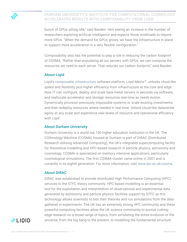bunch of GPUs sitting idle," said Basden. He's seeing an increase in the number of researchers exploring artificial intelligence and expects those workloads to require more GPUs. "When the demand for GPUs grows, we have the infrastructure in place to support more acceleration in a very flexible configuration."

Composability also has the potential to play a role in reducing the carbon footprint of COSMA. "Rather than populating all our servers with GPUs, we can compose the resources we need to each server. That reduces our carbon footprint," said Basden.

## About Liqid

Liqid's [composable infrastructure](https://www.liqid.com/) software platform, Liqid Matrix™, unlocks cloud-like speed and flexibility plus higher efficiency from infrastructure at the core and edge. Now IT can configure, deploy, and scale bare-metal servers in seconds via software, and reallocate accelerator and storage resources real-time as needs evolve. Dynamically provision previously impossible systems or scale existing investments, and then redeploy resources where needed in real-time. Unlock cloud-like datacenter agility at any scale and experience new levels of resource and operational efficiency with Liqid.

## About Durham University

Durham University is a world top 100 higher education institution in the UK. The COSmology MAchine (COSMA) housed at Durham is part of DiRAC (Distributed Research utilising Advanced Computing), the UK's integrated supercomputing facility for theoretical modelling and HPC-based research in particle physics, astronomy and cosmology. COSMA is specialized on memory intensive applications, particularly cosmological simulations. The first COSMA cluster came online in 2001 and is currently in its eighth generation. For more information, visit [www.dur.ac.uk/cosma](http://www.dur.ac.uk/cosma).

## About DiRAC

DiRAC was established to provide distributed High Performance Computing (HPC) services to the STFC theory community. HPC-based modelling is an essential tool for the exploitation and interpretation of observational and experimental data generated by astronomy and particle physics facilities support by STFC as this technology allows scientists to test their theories and run simulations from the data gathered in experiments. The UK has an extremely strong HPC community and these powerful computing facilities allow the UK science community to pursue cuttingedge research on a broad range of topics, from simulating the entire evolution of the universe, from the big bang to the present, to modelling the fundamental structure